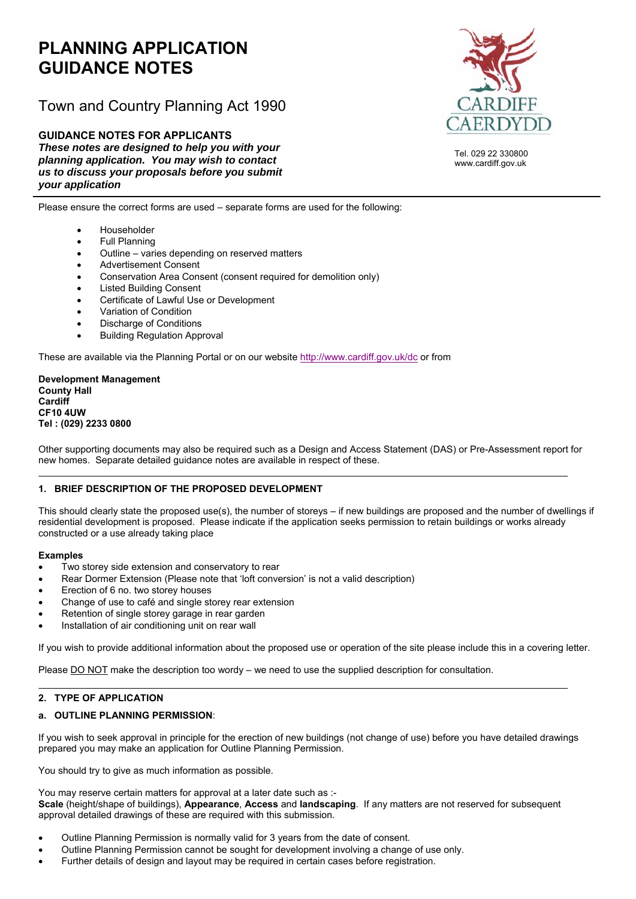# **PLANNING APPLICATION GUIDANCE NOTES**

## Town and Country Planning Act 1990

**GUIDANCE NOTES FOR APPLICANTS**  *These notes are designed to help you with your planning application. You may wish to contact us to discuss your proposals before you submit your application* 



Tel. 029 22 330800 www.cardiff.gov.uk

 Please ensure the correct forms are used – separate forms are used for the following:

- Householder
- Full Planning
- Outline varies depending on reserved matters
- Advertisement Consent
- Conservation Area Consent (consent required for demolition only)
- Listed Building Consent
- Certificate of Lawful Use or Development
- Variation of Condition
- Discharge of Conditions
- Building Regulation Approval

These are available via the Planning Portal or on our website http://www.cardiff.gov.uk/dc or from

**Development Management County Hall Cardiff CF10 4UW Tel : (029) 2233 0800** 

Other supporting documents may also be required such as a Design and Access Statement (DAS) or Pre-Assessment report for new homes. Separate detailed guidance notes are available in respect of these.

## **1. BRIEF DESCRIPTION OF THE PROPOSED DEVELOPMENT**

This should clearly state the proposed use(s), the number of storeys – if new buildings are proposed and the number of dwellings if residential development is proposed. Please indicate if the application seeks permission to retain buildings or works already constructed or a use already taking place

#### **Examples**

- Two storey side extension and conservatory to rear
- Rear Dormer Extension (Please note that 'loft conversion' is not a valid description)
- Erection of 6 no. two storey houses
- Change of use to café and single storey rear extension
- Retention of single storey garage in rear garden
- Installation of air conditioning unit on rear wall

If you wish to provide additional information about the proposed use or operation of the site please include this in a covering letter.

Please **DO NOT** make the description too wordy – we need to use the supplied description for consultation.

## **2. TYPE OF APPLICATION**

## **a. OUTLINE PLANNING PERMISSION**:

If you wish to seek approval in principle for the erection of new buildings (not change of use) before you have detailed drawings prepared you may make an application for Outline Planning Permission.

You should try to give as much information as possible.

You may reserve certain matters for approval at a later date such as :-**Scale** (height/shape of buildings), **Appearance**, **Access** and **landscaping**. If any matters are not reserved for subsequent approval detailed drawings of these are required with this submission.

- Outline Planning Permission is normally valid for 3 years from the date of consent.
- Outline Planning Permission cannot be sought for development involving a change of use only.
- Further details of design and layout may be required in certain cases before registration.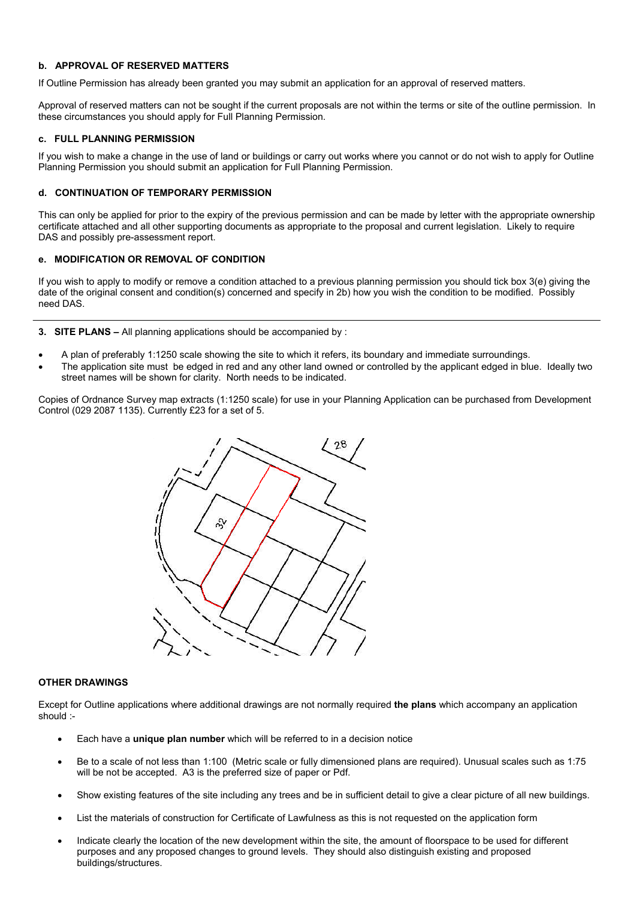### **b. APPROVAL OF RESERVED MATTERS**

If Outline Permission has already been granted you may submit an application for an approval of reserved matters.

Approval of reserved matters can not be sought if the current proposals are not within the terms or site of the outline permission. In these circumstances you should apply for Full Planning Permission.

#### **c. FULL PLANNING PERMISSION**

If you wish to make a change in the use of land or buildings or carry out works where you cannot or do not wish to apply for Outline Planning Permission you should submit an application for Full Planning Permission.

#### **d. CONTINUATION OF TEMPORARY PERMISSION**

This can only be applied for prior to the expiry of the previous permission and can be made by letter with the appropriate ownership certificate attached and all other supporting documents as appropriate to the proposal and current legislation. Likely to require DAS and possibly pre-assessment report.

#### **e. MODIFICATION OR REMOVAL OF CONDITION**

If you wish to apply to modify or remove a condition attached to a previous planning permission you should tick box 3(e) giving the date of the original consent and condition(s) concerned and specify in 2b) how you wish the condition to be modified. Possibly need DAS.

**3. SITE PLANS –** All planning applications should be accompanied by :

- A plan of preferably 1:1250 scale showing the site to which it refers, its boundary and immediate surroundings.
- The application site must be edged in red and any other land owned or controlled by the applicant edged in blue. Ideally two street names will be shown for clarity. North needs to be indicated.

Copies of Ordnance Survey map extracts (1:1250 scale) for use in your Planning Application can be purchased from Development Control (029 2087 1135). Currently £23 for a set of 5.



#### **OTHER DRAWINGS**

Except for Outline applications where additional drawings are not normally required **the plans** which accompany an application should :-

- Each have a **unique plan number** which will be referred to in a decision notice
- Be to a scale of not less than 1:100 (Metric scale or fully dimensioned plans are required). Unusual scales such as 1:75 will be not be accepted. A3 is the preferred size of paper or Pdf.
- Show existing features of the site including any trees and be in sufficient detail to give a clear picture of all new buildings.
- List the materials of construction for Certificate of Lawfulness as this is not requested on the application form
- Indicate clearly the location of the new development within the site, the amount of floorspace to be used for different purposes and any proposed changes to ground levels. They should also distinguish existing and proposed buildings/structures.